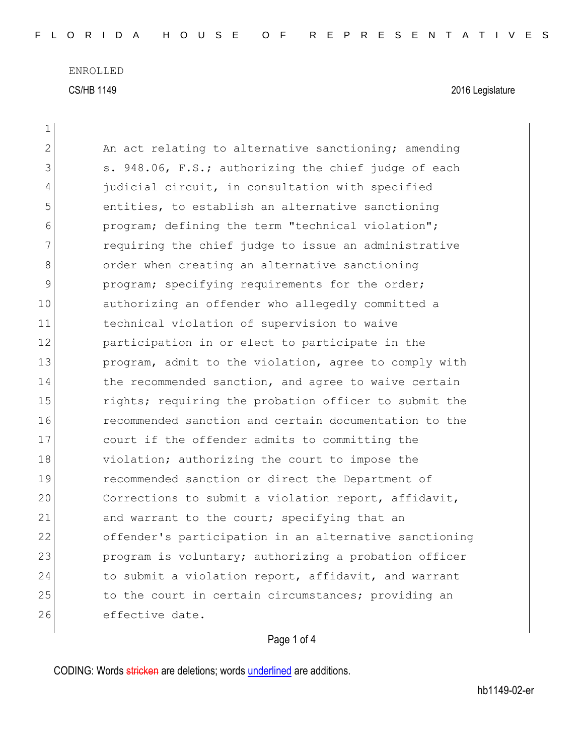ENROLLED CS/HB 1149 2016 Legislature

 $\mathbf{1}$ 

| $\overline{2}$ | An act relating to alternative sanctioning; amending   |
|----------------|--------------------------------------------------------|
| 3              | s. 948.06, F.S.; authorizing the chief judge of each   |
| 4              | judicial circuit, in consultation with specified       |
| 5              | entities, to establish an alternative sanctioning      |
| 6              | program; defining the term "technical violation";      |
| 7              | requiring the chief judge to issue an administrative   |
| 8              | order when creating an alternative sanctioning         |
| $\mathcal{G}$  | program; specifying requirements for the order;        |
| 10             | authorizing an offender who allegedly committed a      |
| 11             | technical violation of supervision to waive            |
| 12             | participation in or elect to participate in the        |
| 13             | program, admit to the violation, agree to comply with  |
| 14             | the recommended sanction, and agree to waive certain   |
| 15             | rights; requiring the probation officer to submit the  |
| 16             | recommended sanction and certain documentation to the  |
| 17             | court if the offender admits to committing the         |
| 18             | violation; authorizing the court to impose the         |
| 19             | recommended sanction or direct the Department of       |
| 20             | Corrections to submit a violation report, affidavit,   |
| 21             | and warrant to the court; specifying that an           |
| 22             | offender's participation in an alternative sanctioning |
| 23             | program is voluntary; authorizing a probation officer  |
| 24             | to submit a violation report, affidavit, and warrant   |
| 25             | to the court in certain circumstances; providing an    |
| 26             | effective date.                                        |
|                |                                                        |

## Page 1 of 4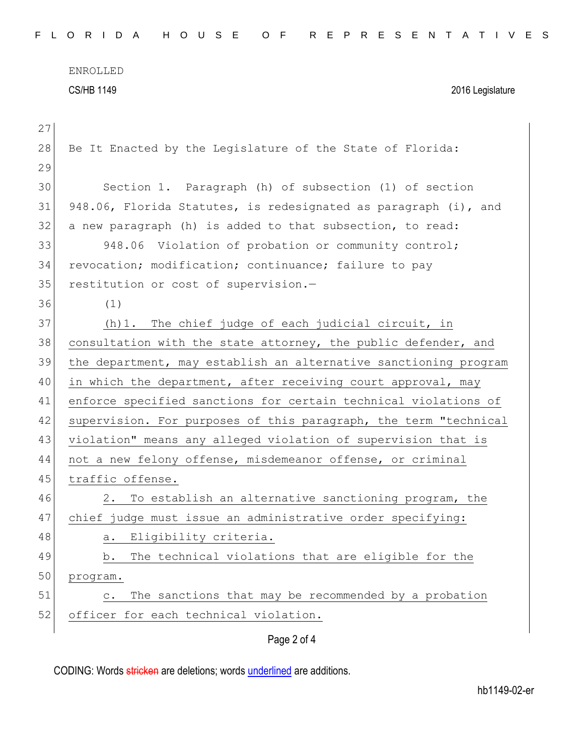ENROLLED CS/HB 1149 2016 Legislature

| 27 |                                                                   |
|----|-------------------------------------------------------------------|
| 28 | Be It Enacted by the Legislature of the State of Florida:         |
| 29 |                                                                   |
| 30 | Section 1. Paragraph (h) of subsection (1) of section             |
| 31 | 948.06, Florida Statutes, is redesignated as paragraph (i), and   |
| 32 | a new paragraph (h) is added to that subsection, to read:         |
| 33 | 948.06 Violation of probation or community control;               |
| 34 | revocation; modification; continuance; failure to pay             |
| 35 | restitution or cost of supervision.-                              |
| 36 | (1)                                                               |
| 37 | (h) 1. The chief judge of each judicial circuit, in               |
| 38 | consultation with the state attorney, the public defender, and    |
| 39 | the department, may establish an alternative sanctioning program  |
| 40 | in which the department, after receiving court approval, may      |
| 41 | enforce specified sanctions for certain technical violations of   |
| 42 | supervision. For purposes of this paragraph, the term "technical  |
| 43 | violation" means any alleged violation of supervision that is     |
| 44 | not a new felony offense, misdemeanor offense, or criminal        |
| 45 | traffic offense.                                                  |
| 46 | To establish an alternative sanctioning program, the<br>2.        |
| 47 | chief judge must issue an administrative order specifying:        |
| 48 | a. Eligibility criteria.                                          |
| 49 | The technical violations that are eligible for the<br>b.          |
| 50 | program.                                                          |
| 51 | The sanctions that may be recommended by a probation<br>$\circ$ . |
| 52 | officer for each technical violation.                             |
|    | Page 2 of 4                                                       |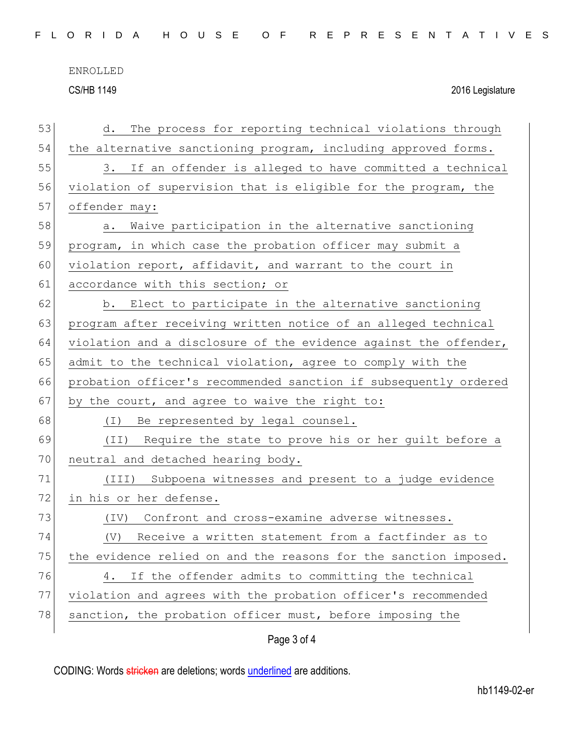ENROLLED

CS/HB 1149 2016 Legislature

| 53 | The process for reporting technical violations through<br>d.     |
|----|------------------------------------------------------------------|
| 54 | the alternative sanctioning program, including approved forms.   |
| 55 | If an offender is alleged to have committed a technical<br>3.    |
| 56 | violation of supervision that is eligible for the program, the   |
| 57 | offender may:                                                    |
| 58 | Waive participation in the alternative sanctioning<br>a.         |
| 59 | program, in which case the probation officer may submit a        |
| 60 | violation report, affidavit, and warrant to the court in         |
| 61 | accordance with this section; or                                 |
| 62 | b. Elect to participate in the alternative sanctioning           |
| 63 | program after receiving written notice of an alleged technical   |
| 64 | violation and a disclosure of the evidence against the offender, |
| 65 | admit to the technical violation, agree to comply with the       |
| 66 | probation officer's recommended sanction if subsequently ordered |
| 67 | by the court, and agree to waive the right to:                   |
| 68 | (I) Be represented by legal counsel.                             |
| 69 | Require the state to prove his or her guilt before a<br>(TI)     |
| 70 | neutral and detached hearing body.                               |
| 71 | (III) Subpoena witnesses and present to a judge evidence         |
| 72 | in his or her defense.                                           |
| 73 | Confront and cross-examine adverse witnesses.<br>$(\text{IV})$   |
| 74 | (V)<br>Receive a written statement from a factfinder as to       |
| 75 | the evidence relied on and the reasons for the sanction imposed. |
| 76 | If the offender admits to committing the technical<br>4.         |
| 77 | violation and agrees with the probation officer's recommended    |
| 78 | sanction, the probation officer must, before imposing the        |
|    | Page 3 of 4                                                      |